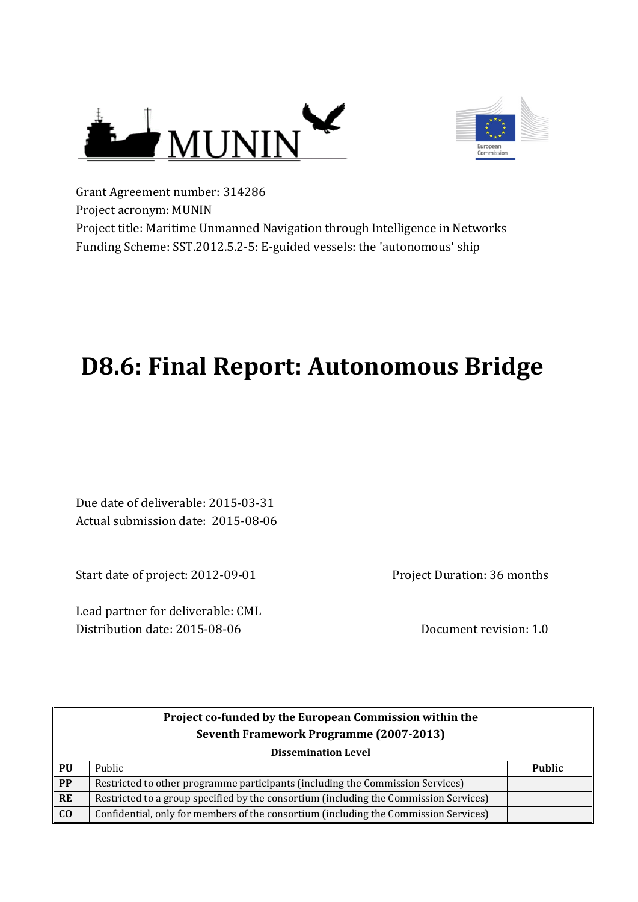



Grant Agreement number: 314286 Project acronym: MUNIN Project title: Maritime Unmanned Navigation through Intelligence in Networks Funding Scheme: SST.2012.5.2-5: E-guided vessels: the 'autonomous' ship

# **D8.6: Final Report: Autonomous Bridge**

Due date of deliverable: 2015-03-31 Actual submission date: 2015-08-06

Start date of project: 2012-09-01

Lead partner for deliverable: CML Distribution date: 2015-08-06 Document revision: 1.0

Project Duration: 36 months

|                | Project co-funded by the European Commission within the                               |               |  |
|----------------|---------------------------------------------------------------------------------------|---------------|--|
|                | Seventh Framework Programme (2007-2013)                                               |               |  |
|                | <b>Dissemination Level</b>                                                            |               |  |
| PU             | Public                                                                                | <b>Public</b> |  |
| PP             | Restricted to other programme participants (including the Commission Services)        |               |  |
| <b>RE</b>      | Restricted to a group specified by the consortium (including the Commission Services) |               |  |
| C <sub>0</sub> | Confidential, only for members of the consortium (including the Commission Services)  |               |  |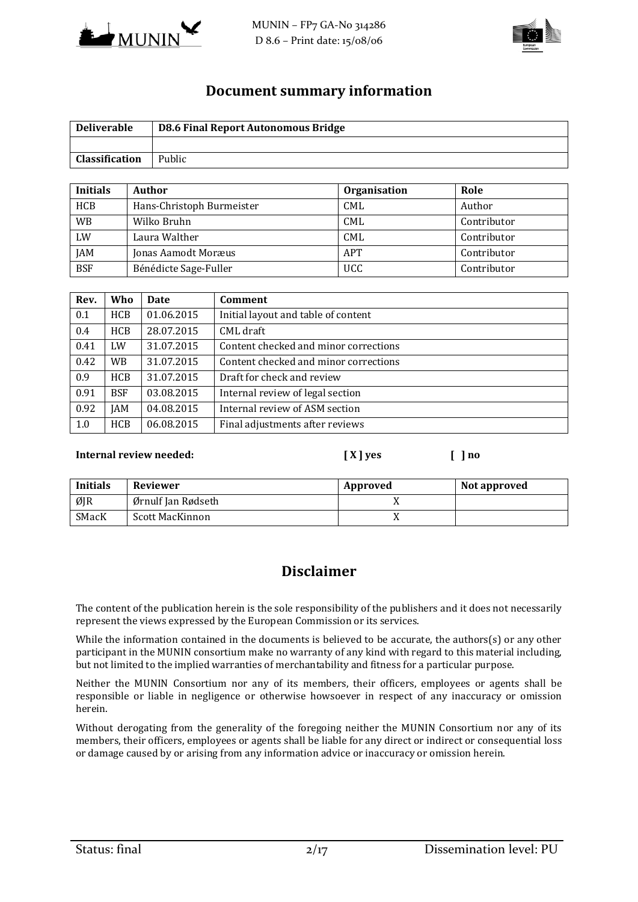



#### **Document summary information**

| <b>Deliverable</b>    | <b>D8.6 Final Report Autonomous Bridge</b> |
|-----------------------|--------------------------------------------|
|                       |                                            |
| <b>Classification</b> | Public                                     |

| <b>Initials</b> | Author                    | <b>Organisation</b> | Role        |
|-----------------|---------------------------|---------------------|-------------|
| <b>HCB</b>      | Hans-Christoph Burmeister | <b>CML</b>          | Author      |
| <b>WB</b>       | Wilko Bruhn               | <b>CML</b>          | Contributor |
| LW              | Laura Walther             | CML                 | Contributor |
| <b>JAM</b>      | Jonas Aamodt Moræus       | APT                 | Contributor |
| <b>BSF</b>      | Bénédicte Sage-Fuller     | <b>UCC</b>          | Contributor |

| Rev. | <b>Who</b> | <b>Date</b> | Comment                               |
|------|------------|-------------|---------------------------------------|
| 0.1  | <b>HCB</b> | 01.06.2015  | Initial layout and table of content   |
| 0.4  | <b>HCB</b> | 28.07.2015  | CML draft                             |
| 0.41 | LW         | 31.07.2015  | Content checked and minor corrections |
| 0.42 | <b>WB</b>  | 31.07.2015  | Content checked and minor corrections |
| 0.9  | <b>HCB</b> | 31.07.2015  | Draft for check and review            |
| 0.91 | <b>BSF</b> | 03.08.2015  | Internal review of legal section      |
| 0.92 | <b>JAM</b> | 04.08.2015  | Internal review of ASM section        |
| 1.0  | <b>HCB</b> | 06.08.2015  | Final adjustments after reviews       |

#### **Internal review needed: [ X ] yes [ ] no**

| Initials | <b>Reviewer</b>    | Approved | Not approved |
|----------|--------------------|----------|--------------|
| ØJR      | Ørnulf Jan Rødseth |          |              |
| SMacK    | Scott MacKinnon    |          |              |

### **Disclaimer**

The content of the publication herein is the sole responsibility of the publishers and it does not necessarily represent the views expressed by the European Commission or its services.

While the information contained in the documents is believed to be accurate, the authors(s) or any other participant in the MUNIN consortium make no warranty of any kind with regard to this material including, but not limited to the implied warranties of merchantability and fitness for a particular purpose.

Neither the MUNIN Consortium nor any of its members, their officers, employees or agents shall be responsible or liable in negligence or otherwise howsoever in respect of any inaccuracy or omission herein.

Without derogating from the generality of the foregoing neither the MUNIN Consortium nor any of its members, their officers, employees or agents shall be liable for any direct or indirect or consequential loss or damage caused by or arising from any information advice or inaccuracy or omission herein.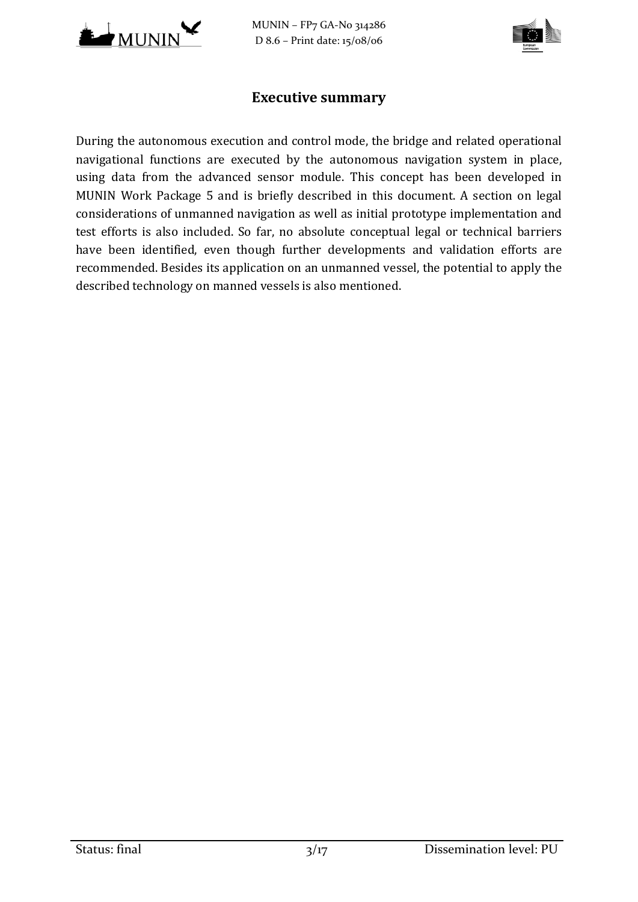

MUNIN – FP7 GA-No 314286 D 8.6 – Print date: 15/08/06



#### **Executive summary**

During the autonomous execution and control mode, the bridge and related operational navigational functions are executed by the autonomous navigation system in place, using data from the advanced sensor module. This concept has been developed in MUNIN Work Package 5 and is briefly described in this document. A section on legal considerations of unmanned navigation as well as initial prototype implementation and test efforts is also included. So far, no absolute conceptual legal or technical barriers have been identified, even though further developments and validation efforts are recommended. Besides its application on an unmanned vessel, the potential to apply the described technology on manned vessels is also mentioned.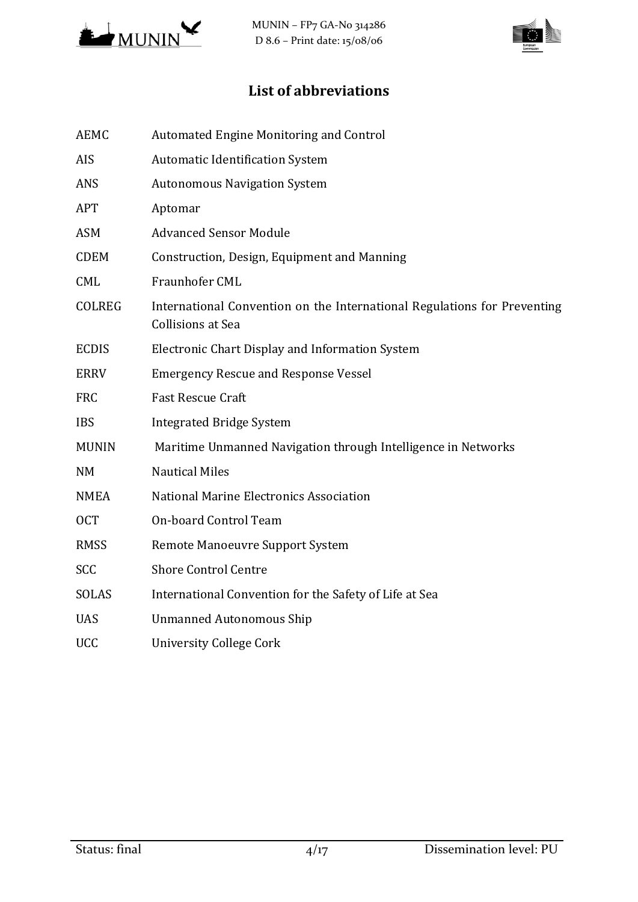

MUNIN – FP7 GA-No 314286 D 8.6 – Print date: 15/08/06

# **List of abbreviations**

| <b>AEMC</b>   | Automated Engine Monitoring and Control                                                              |
|---------------|------------------------------------------------------------------------------------------------------|
| AIS           | <b>Automatic Identification System</b>                                                               |
| <b>ANS</b>    | <b>Autonomous Navigation System</b>                                                                  |
| <b>APT</b>    | Aptomar                                                                                              |
| <b>ASM</b>    | <b>Advanced Sensor Module</b>                                                                        |
| <b>CDEM</b>   | Construction, Design, Equipment and Manning                                                          |
| <b>CML</b>    | Fraunhofer CML                                                                                       |
| <b>COLREG</b> | International Convention on the International Regulations for Preventing<br><b>Collisions at Sea</b> |
| <b>ECDIS</b>  | Electronic Chart Display and Information System                                                      |
| <b>ERRV</b>   | <b>Emergency Rescue and Response Vessel</b>                                                          |
| <b>FRC</b>    | <b>Fast Rescue Craft</b>                                                                             |
| <b>IBS</b>    | <b>Integrated Bridge System</b>                                                                      |
| <b>MUNIN</b>  | Maritime Unmanned Navigation through Intelligence in Networks                                        |
| <b>NM</b>     | <b>Nautical Miles</b>                                                                                |
| <b>NMEA</b>   | National Marine Electronics Association                                                              |
| <b>OCT</b>    | On-board Control Team                                                                                |
| <b>RMSS</b>   | Remote Manoeuvre Support System                                                                      |
| SCC           | <b>Shore Control Centre</b>                                                                          |
| <b>SOLAS</b>  | International Convention for the Safety of Life at Sea                                               |
| <b>UAS</b>    | <b>Unmanned Autonomous Ship</b>                                                                      |
| <b>UCC</b>    | <b>University College Cork</b>                                                                       |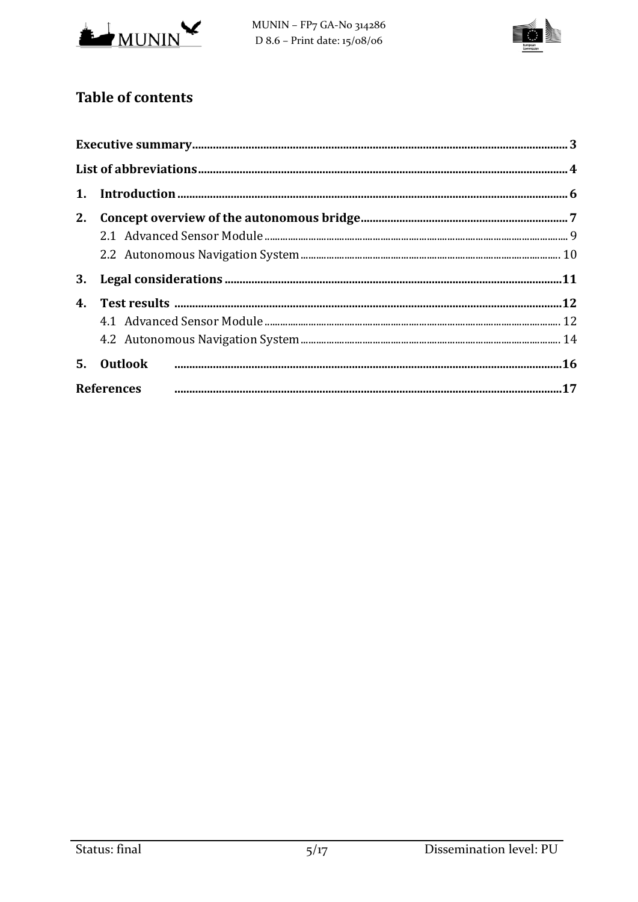

MUNIN - FP7 GA-No 314286 D  $8.6$  – Print date:  $15/08/06$ 



# **Table of contents**

| <b>References</b> |  |
|-------------------|--|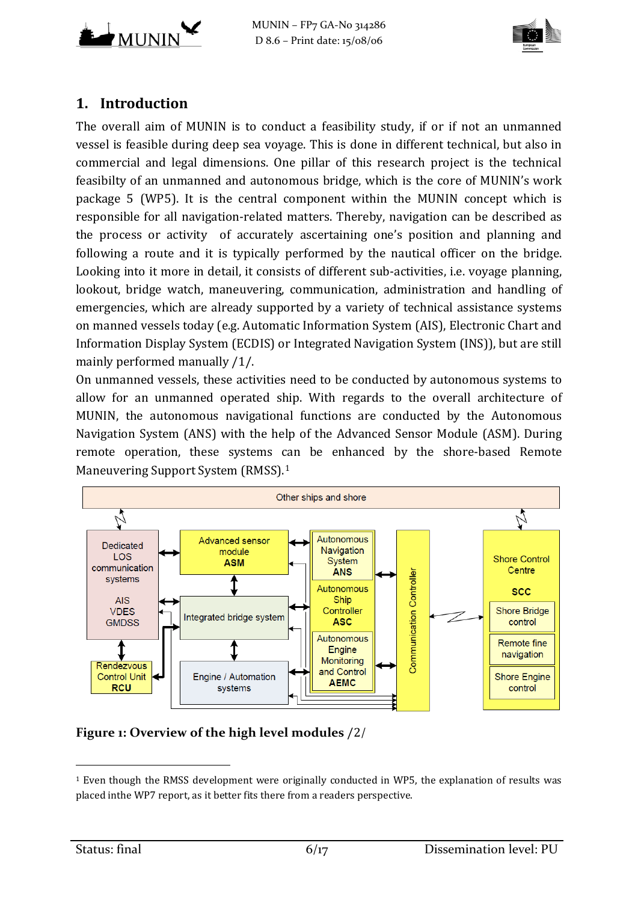



# **1. Introduction**

The overall aim of MUNIN is to conduct a feasibility study, if or if not an unmanned vessel is feasible during deep sea voyage. This is done in different technical, but also in commercial and legal dimensions. One pillar of this research project is the technical feasibilty of an unmanned and autonomous bridge, which is the core of MUNIN's work package 5 (WP5). It is the central component within the MUNIN concept which is responsible for all navigation-related matters. Thereby, navigation can be described as the process or activity of accurately ascertaining one's position and planning and following a route and it is typically performed by the nautical officer on the bridge. Looking into it more in detail, it consists of different sub-activities, i.e. voyage planning, lookout, bridge watch, maneuvering, communication, administration and handling of emergencies, which are already supported by a variety of technical assistance systems on manned vessels today (e.g. Automatic Information System (AIS), Electronic Chart and Information Display System (ECDIS) or Integrated Navigation System (INS)), but are still mainly performed manually /1/.

On unmanned vessels, these activities need to be conducted by autonomous systems to allow for an unmanned operated ship. With regards to the overall architecture of MUNIN, the autonomous navigational functions are conducted by the Autonomous Navigation System (ANS) with the help of the Advanced Sensor Module (ASM). During remote operation, these systems [ca](#page-5-0)n be enhanced by the shore-based Remote Maneuvering Support System (RMSS). 1



#### **Figure 1: Overview of the high level modules** [/2](#page-16-0)/

<span id="page-5-0"></span>i<br>I <sup>1</sup> Even though the RMSS development were originally conducted in WP5, the explanation of results was placed inthe WP7 report, as it better fits there from a readers perspective.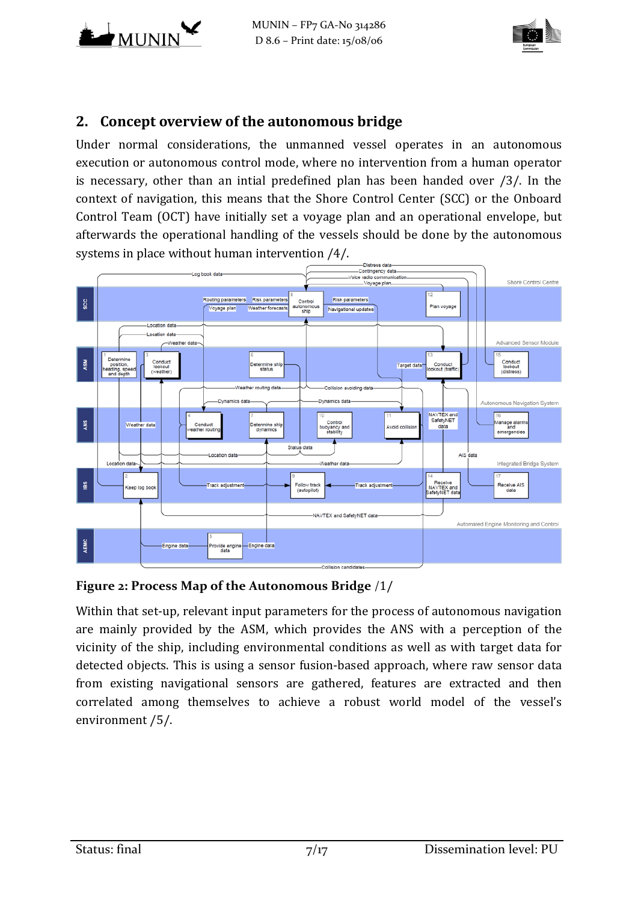



# **2. Concept overview of the autonomous bridge**

Under normal considerations, the unmanned vessel operates in an autonomous execution or autonomous control mode, where no intervention from a human operator is necessary, other than an intial predefined plan has been handed over [/3/.](#page-16-1) In the context of navigation, this means that the Shore Control Center (SCC) or the Onboard Control Team (OCT) have initially set a voyage plan and an operational envelope, but afterwards the operational handling of the vessels should be done by the autonomous systems in place without human intervention [/4/.](#page-16-2)



#### **Figure 2: Process Map of the Autonomous Bridge** /[1/](#page-16-3)

Within that set-up, relevant input parameters for the process of autonomous navigation are mainly provided by the ASM, which provides the ANS with a perception of the vicinity of the ship, including environmental conditions as well as with target data for detected objects. This is using a sensor fusion-based approach, where raw sensor data from existing navigational sensors are gathered, features are extracted and then correlated among themselves to achieve a robust world model of the vessel's environment [/5/.](#page-16-4)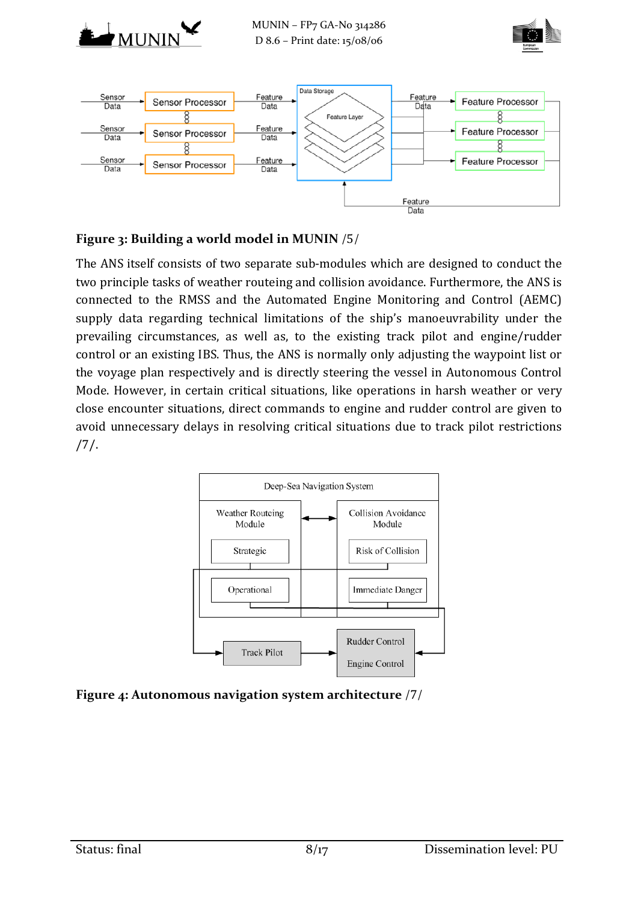





#### **Figure 3: Building a world model in MUNIN** /[5](#page-16-4)/

The ANS itself consists of two separate sub-modules which are designed to conduct the two principle tasks of weather routeing and collision avoidance. Furthermore, the ANS is connected to the RMSS and the Automated Engine Monitoring and Control (AEMC) supply data regarding technical limitations of the ship's manoeuvrability under the prevailing circumstances, as well as, to the existing track pilot and engine/rudder control or an existing IBS. Thus, the ANS is normally only adjusting the waypoint list or the voyage plan respectively and is directly steering the vessel in Autonomous Control Mode. However, in certain critical situations, like operations in harsh weather or very close encounter situations, direct commands to engine and rudder control are given to avoid unnecessary delays in resolving critical situations due to track pilot restrictions [/7/.](#page-16-5)



**Figure 4: Autonomous navigation system architecture** /[7](#page-16-5)/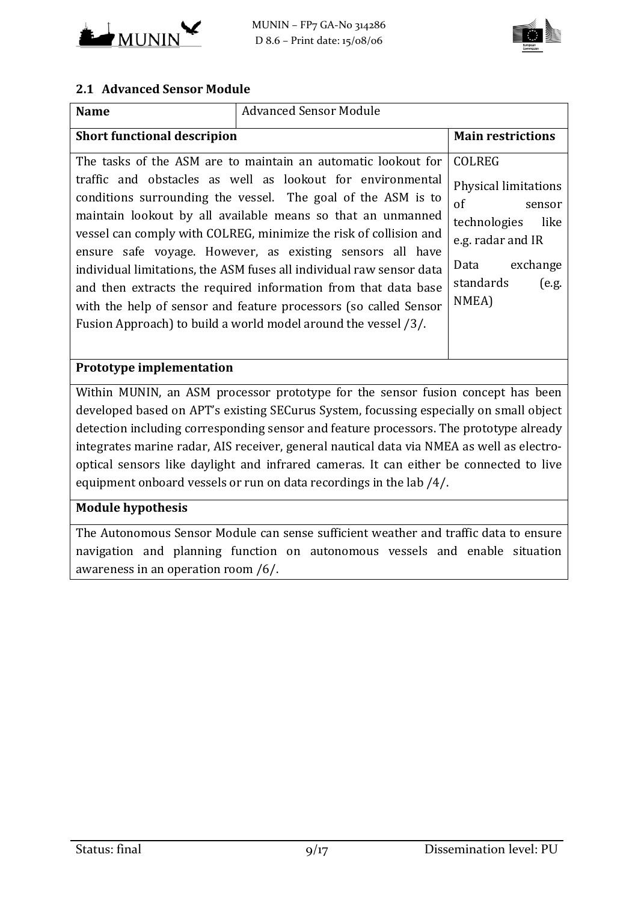



#### **2.1 Advanced Sensor Module**

| <b>Name</b>                                                                                                                                                                                                                                                                                                                                                                                                                                                                                                                                                                                                                                                                  | <b>Advanced Sensor Module</b> |                                                                                                                                                       |
|------------------------------------------------------------------------------------------------------------------------------------------------------------------------------------------------------------------------------------------------------------------------------------------------------------------------------------------------------------------------------------------------------------------------------------------------------------------------------------------------------------------------------------------------------------------------------------------------------------------------------------------------------------------------------|-------------------------------|-------------------------------------------------------------------------------------------------------------------------------------------------------|
| <b>Short functional descripion</b>                                                                                                                                                                                                                                                                                                                                                                                                                                                                                                                                                                                                                                           | <b>Main restrictions</b>      |                                                                                                                                                       |
| The tasks of the ASM are to maintain an automatic lookout for<br>traffic and obstacles as well as lookout for environmental<br>conditions surrounding the vessel. The goal of the ASM is to<br>maintain lookout by all available means so that an unmanned<br>vessel can comply with COLREG, minimize the risk of collision and<br>ensure safe voyage. However, as existing sensors all have<br>individual limitations, the ASM fuses all individual raw sensor data<br>and then extracts the required information from that data base<br>with the help of sensor and feature processors (so called Sensor<br>Fusion Approach) to build a world model around the vessel /3/. |                               | <b>COLREG</b><br>Physical limitations<br>of<br>sensor<br>technologies<br>like<br>e.g. radar and IR<br>exchange<br>Data<br>standards<br>(e.g.<br>NMEA) |
| Prototype implementation                                                                                                                                                                                                                                                                                                                                                                                                                                                                                                                                                                                                                                                     |                               |                                                                                                                                                       |
| Within MUNIN, an ASM processor prototype for the sensor fusion concept has been<br>developed based on APT's existing SECurus System, focussing especially on small object<br>detection including corresponding sensor and feature processors. The prototype already<br>integrates marine radar, AIS receiver, general nautical data via NMEA as well as electro-<br>optical sensors like daylight and infrared cameras. It can either be connected to live<br>equipment onboard vessels or run on data recordings in the lab /4/.                                                                                                                                            |                               |                                                                                                                                                       |
| <b>Module hypothesis</b><br>The Lutenomous Conser Module can sense sufficient weather and traffic data to ensure                                                                                                                                                                                                                                                                                                                                                                                                                                                                                                                                                             |                               |                                                                                                                                                       |

The Autonomous Sensor Module can sense sufficient weather and traffic data to ensure navigation and planning function on autonomous vessels and enable situation awareness in an operation room [/6/.](#page-16-7)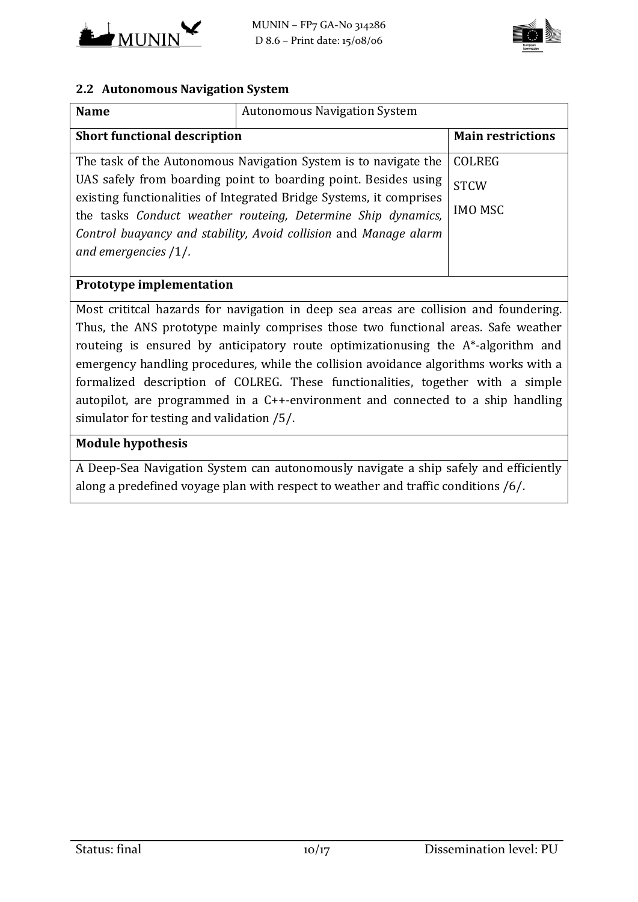



#### **2.2 Autonomous Navigation System**

| <b>Name</b>                                                     |                                                                                                                                                                                                                                                                            |                               |  |
|-----------------------------------------------------------------|----------------------------------------------------------------------------------------------------------------------------------------------------------------------------------------------------------------------------------------------------------------------------|-------------------------------|--|
| <b>Short functional description</b>                             | <b>Main restrictions</b>                                                                                                                                                                                                                                                   |                               |  |
| The task of the Autonomous Navigation System is to navigate the | <b>COLREG</b>                                                                                                                                                                                                                                                              |                               |  |
| and emergencies $/1/$ .                                         | UAS safely from boarding point to boarding point. Besides using<br>existing functionalities of Integrated Bridge Systems, it comprises<br>the tasks Conduct weather routeing, Determine Ship dynamics,<br>Control buayancy and stability, Avoid collision and Manage alarm | <b>STCW</b><br><b>IMO MSC</b> |  |
| <b>Prototype implementation</b>                                 |                                                                                                                                                                                                                                                                            |                               |  |

Most crititcal hazards for navigation in deep sea areas are collision and foundering. Thus, the ANS prototype mainly comprises those two functional areas. Safe weather routeing is ensured by anticipatory route optimizationusing the A\*-algorithm and emergency handling procedures, while the collision avoidance algorithms works with a formalized description of COLREG. These functionalities, together with a simple autopilot, are programmed in a C++-environment and connected to a ship handling simulator for testing and validation [/5/.](#page-16-5)

#### **Module hypothesis**

A Deep-Sea Navigation System can autonomously navigate a ship safely and efficiently along a predefined voyage plan with respect to weather and traffic conditions [/6/.](#page-16-7)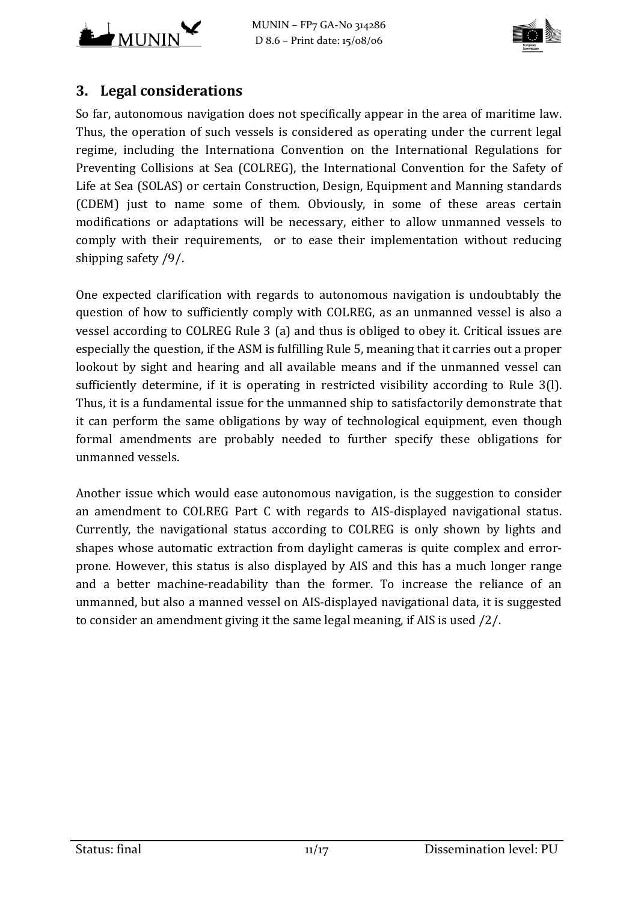



# **3. Legal considerations**

So far, autonomous navigation does not specifically appear in the area of maritime law. Thus, the operation of such vessels is considered as operating under the current legal regime, including the Internationa Convention on the International Regulations for Preventing Collisions at Sea (COLREG), the International Convention for the Safety of Life at Sea (SOLAS) or certain Construction, Design, Equipment and Manning standards (CDEM) just to name some of them. Obviously, in some of these areas certain modifications or adaptations will be necessary, either to allow unmanned vessels to comply with their requirements, or to ease their implementation without reducing shipping safety [/9/.](#page-16-8)

One expected clarification with regards to autonomous navigation is undoubtably the question of how to sufficiently comply with COLREG, as an unmanned vessel is also a vessel according to COLREG Rule 3 (a) and thus is obliged to obey it. Critical issues are especially the question, if the ASM is fulfilling Rule 5, meaning that it carries out a proper lookout by sight and hearing and all available means and if the unmanned vessel can sufficiently determine, if it is operating in restricted visibility according to Rule 3(l). Thus, it is a fundamental issue for the unmanned ship to satisfactorily demonstrate that it can perform the same obligations by way of technological equipment, even though formal amendments are probably needed to further specify these obligations for unmanned vessels.

Another issue which would ease autonomous navigation, is the suggestion to consider an amendment to COLREG Part C with regards to AIS-displayed navigational status. Currently, the navigational status according to COLREG is only shown by lights and shapes whose automatic extraction from daylight cameras is quite complex and errorprone. However, this status is also displayed by AIS and this has a much longer range and a better machine-readability than the former. To increase the reliance of an unmanned, but also a manned vessel on AIS-displayed navigational data, it is suggested to consider an amendment giving it the same legal meaning, if AIS is used [/2/.](#page-16-0)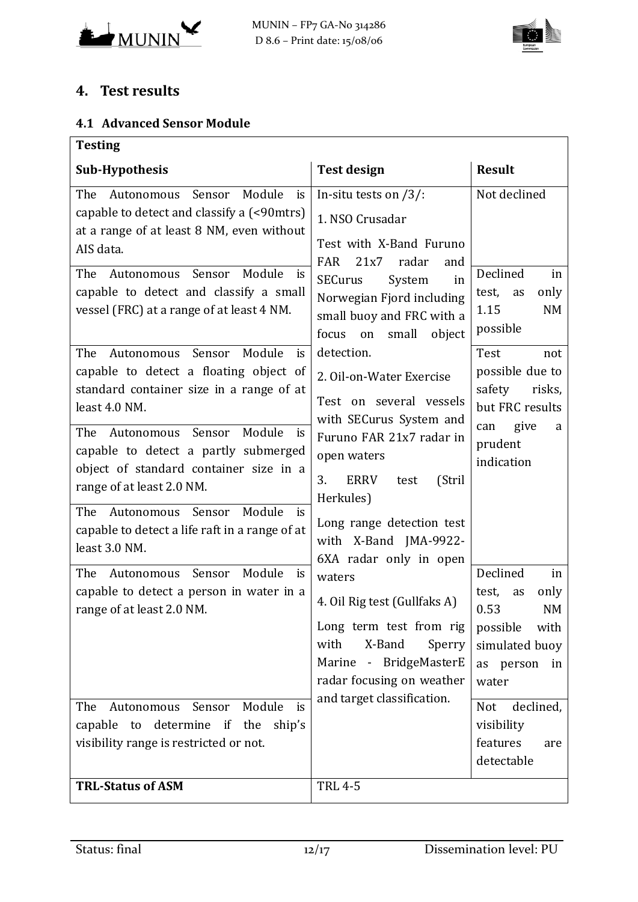



# **4. Test results**

#### **4.1 Advanced Sensor Module**

| <b>Testing</b>                                                                                                                                       |                                                                                                                                                                                    |                                                                                                                 |  |
|------------------------------------------------------------------------------------------------------------------------------------------------------|------------------------------------------------------------------------------------------------------------------------------------------------------------------------------------|-----------------------------------------------------------------------------------------------------------------|--|
| <b>Sub-Hypothesis</b>                                                                                                                                | <b>Test design</b>                                                                                                                                                                 | <b>Result</b>                                                                                                   |  |
| The<br>Module<br>Autonomous<br>Sensor<br>is<br>capable to detect and classify a (<90mtrs)<br>at a range of at least 8 NM, even without<br>AIS data.  | In-situ tests on $/3$ :<br>1. NSO Crusadar<br>Test with X-Band Furuno<br><b>FAR</b><br>21x7<br>radar<br>and                                                                        | Not declined                                                                                                    |  |
| Module<br>The<br>Sensor<br>Autonomous<br>is<br>capable to detect and classify a small<br>vessel (FRC) at a range of at least 4 NM.                   | <b>SECurus</b><br>System<br>in<br>Norwegian Fjord including<br>small buoy and FRC with a<br>object<br>focus<br>small<br>on                                                         | Declined<br>in<br>only<br>test,<br>as<br>1.15<br>NM<br>possible                                                 |  |
| Sensor<br>Module<br>The<br>Autonomous<br>is<br>capable to detect a floating object of<br>standard container size in a range of at<br>least 4.0 NM.   | detection.<br>2. Oil-on-Water Exercise<br>Test on several vessels<br>with SECurus System and                                                                                       | Test<br>not<br>possible due to<br>safety<br>risks,<br>but FRC results                                           |  |
| The Autonomous Sensor<br>Module<br>is<br>capable to detect a partly submerged<br>object of standard container size in a<br>range of at least 2.0 NM. | Furuno FAR 21x7 radar in<br>open waters<br>3.<br>(Stril<br><b>ERRV</b><br>test<br>Herkules)                                                                                        | give<br>can<br>a<br>prudent<br>indication                                                                       |  |
| The<br>Sensor<br>Module<br>Autonomous<br>is<br>capable to detect a life raft in a range of at<br>least 3.0 NM.                                       | Long range detection test<br>with X-Band JMA-9922-<br>6XA radar only in open                                                                                                       |                                                                                                                 |  |
| Module<br>Sensor<br>The<br>Autonomous<br>is<br>capable to detect a person in water in a<br>range of at least 2.0 NM.                                 | waters<br>4. Oil Rig test (Gullfaks A)<br>Long term test from rig<br>with<br>X-Band<br>Sperry<br>Marine - BridgeMasterE<br>radar focusing on weather<br>and target classification. | Declined<br>in<br>only<br>test,<br>as<br>0.53<br>NM<br>possible<br>with<br>simulated buoy<br>as<br>person<br>in |  |
| Module<br>Autonomous<br>Sensor<br>The<br>is<br>determine if the<br>ship's<br>capable<br>to<br>visibility range is restricted or not.                 |                                                                                                                                                                                    | water<br>declined,<br><b>Not</b><br>visibility<br>features<br>are<br>detectable                                 |  |
| <b>TRL-Status of ASM</b>                                                                                                                             | <b>TRL 4-5</b>                                                                                                                                                                     |                                                                                                                 |  |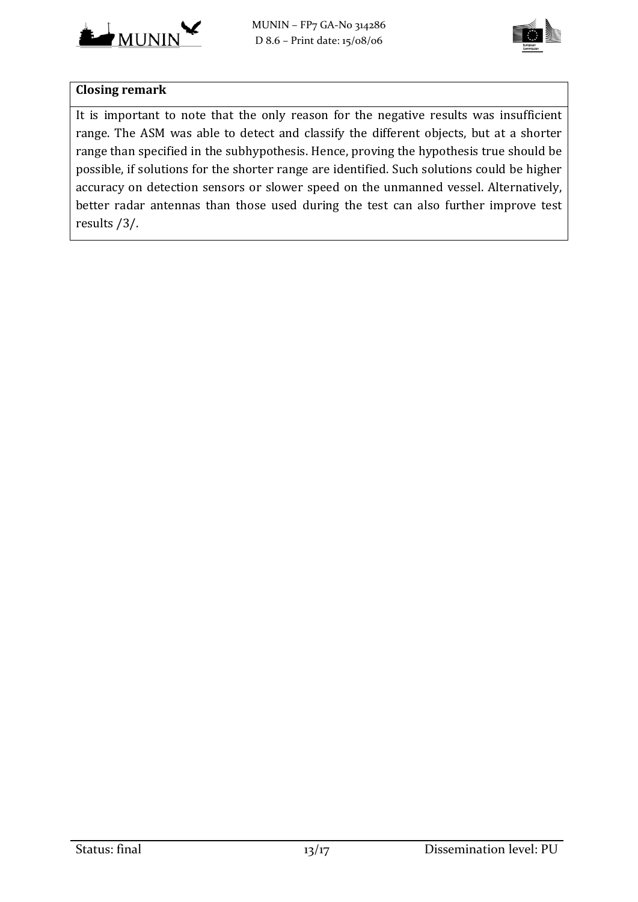



#### **Closing remark**

It is important to note that the only reason for the negative results was insufficient range. The ASM was able to detect and classify the different objects, but at a shorter range than specified in the subhypothesis. Hence, proving the hypothesis true should be possible, if solutions for the shorter range are identified. Such solutions could be higher accuracy on detection sensors or slower speed on the unmanned vessel. Alternatively, better radar antennas than those used during the test can also further improve test results [/3/.](#page-16-6)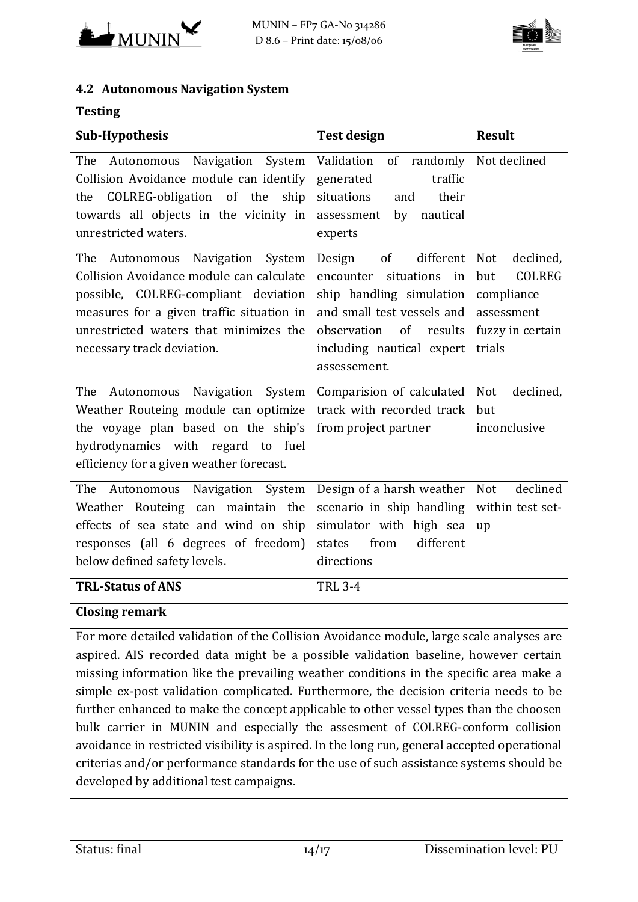



#### **4.2 Autonomous Navigation System**

| <b>Testing</b>                                                                                                                                                                                                                               |                                                                                                                                                                                                           |                                                                                                           |
|----------------------------------------------------------------------------------------------------------------------------------------------------------------------------------------------------------------------------------------------|-----------------------------------------------------------------------------------------------------------------------------------------------------------------------------------------------------------|-----------------------------------------------------------------------------------------------------------|
| <b>Sub-Hypothesis</b>                                                                                                                                                                                                                        | <b>Test design</b>                                                                                                                                                                                        | <b>Result</b>                                                                                             |
| The<br>Navigation System<br>Autonomous<br>Collision Avoidance module can identify<br>COLREG-obligation of the<br>ship<br>the<br>towards all objects in the vicinity in<br>unrestricted waters.                                               | Validation<br>randomly<br>of<br>traffic<br>generated<br>situations<br>their<br>and<br>nautical<br>assessment<br>by<br>experts                                                                             | Not declined                                                                                              |
| Autonomous Navigation System<br>The<br>Collision Avoidance module can calculate<br>possible, COLREG-compliant deviation<br>measures for a given traffic situation in<br>unrestricted waters that minimizes the<br>necessary track deviation. | of<br>different<br>Design<br>situations<br>encounter<br>in<br>ship handling simulation<br>and small test vessels and<br>$\sigma$ f<br>observation<br>results<br>including nautical expert<br>assessement. | declined,<br><b>Not</b><br><b>COLREG</b><br>but<br>compliance<br>assessment<br>fuzzy in certain<br>trials |
| Navigation System<br>The<br>Autonomous<br>Weather Routeing module can optimize<br>the voyage plan based on the ship's<br>hydrodynamics with regard to fuel<br>efficiency for a given weather forecast.                                       | Comparision of calculated<br>track with recorded track<br>from project partner                                                                                                                            | <b>Not</b><br>declined,<br>but<br>inconclusive                                                            |
| Autonomous Navigation System<br>The<br>Weather Routeing can maintain the<br>effects of sea state and wind on ship<br>responses (all 6 degrees of freedom)<br>below defined safety levels.                                                    | Design of a harsh weather<br>scenario in ship handling<br>simulator with high sea<br>different<br>from<br>states<br>directions                                                                            | declined<br><b>Not</b><br>within test set-<br>up                                                          |
| <b>TRL-Status of ANS</b><br><b>Closing remark</b>                                                                                                                                                                                            | <b>TRL 3-4</b>                                                                                                                                                                                            |                                                                                                           |
|                                                                                                                                                                                                                                              |                                                                                                                                                                                                           |                                                                                                           |

For more detailed validation of the Collision Avoidance module, large scale analyses are aspired. AIS recorded data might be a possible validation baseline, however certain missing information like the prevailing weather conditions in the specific area make a simple ex-post validation complicated. Furthermore, the decision criteria needs to be further enhanced to make the concept applicable to other vessel types than the choosen bulk carrier in MUNIN and especially the assesment of COLREG-conform collision avoidance in restricted visibility is aspired. In the long run, general accepted operational criterias and/or performance standards for the use of such assistance systems should be developed by additional test campaigns.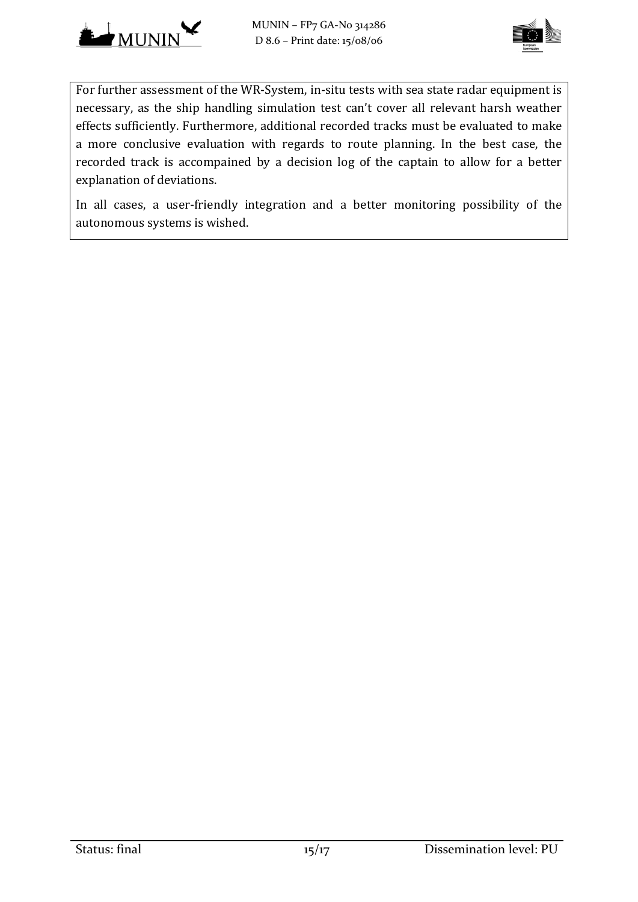



For further assessment of the WR-System, in-situ tests with sea state radar equipment is necessary, as the ship handling simulation test can't cover all relevant harsh weather effects sufficiently. Furthermore, additional recorded tracks must be evaluated to make a more conclusive evaluation with regards to route planning. In the best case, the recorded track is accompained by a decision log of the captain to allow for a better explanation of deviations.

In all cases, a user-friendly integration and a better monitoring possibility of the autonomous systems is wished.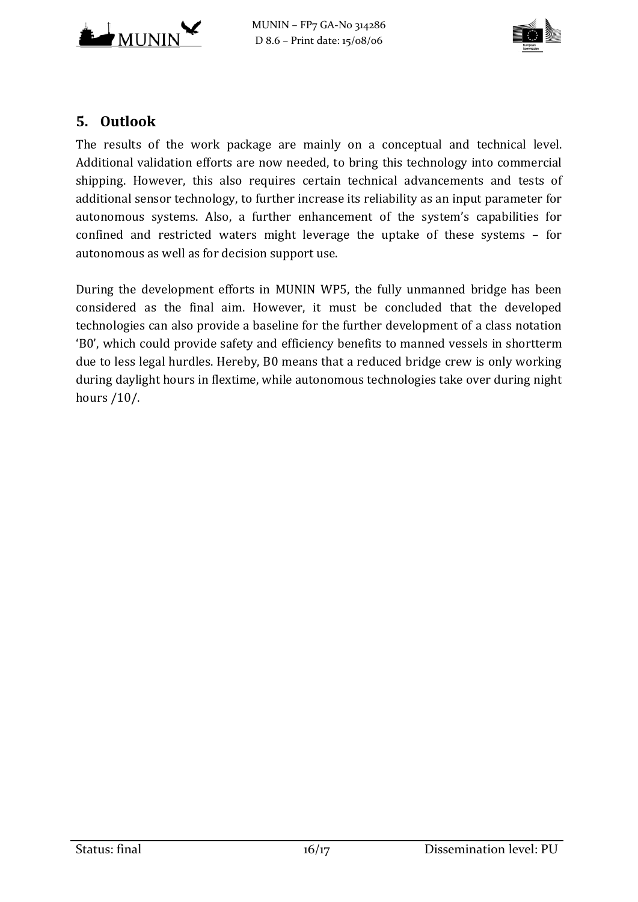



# **5. Outlook**

The results of the work package are mainly on a conceptual and technical level. Additional validation efforts are now needed, to bring this technology into commercial shipping. However, this also requires certain technical advancements and tests of additional sensor technology, to further increase its reliability as an input parameter for autonomous systems. Also, a further enhancement of the system's capabilities for confined and restricted waters might leverage the uptake of these systems – for autonomous as well as for decision support use.

During the development efforts in MUNIN WP5, the fully unmanned bridge has been considered as the final aim. However, it must be concluded that the developed technologies can also provide a baseline for the further development of a class notation 'B0', which could provide safety and efficiency benefits to manned vessels in shortterm due to less legal hurdles. Hereby, B0 means that a reduced bridge crew is only working during daylight hours in flextime, while autonomous technologies take over during night hours [/10/.](#page-16-9)